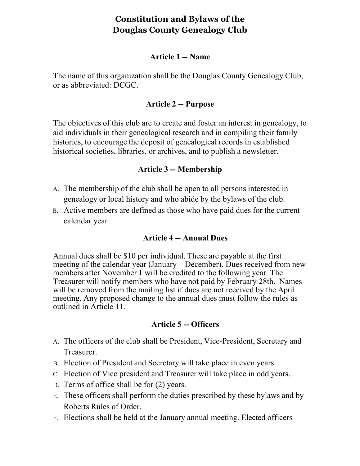# **Constitution and Bylaws of the Douglas County Genealogy Club**

#### **Article 1 -- Name**

The name of this organization shall be the Douglas County Genealogy Club, or as abbreviated: DCGC.

### **Article 2 -- Purpose**

The objectives of this club are to create and foster an interest in genealogy, to aid individuals in their genealogical research and in compiling their family histories, to encourage the deposit of genealogical records in established historical societies, libraries, or archives, and to publish a newsletter.

## **Article 3 -- Membership**

- A. The membership of the club shall be open to all persons interested in genealogy or local history and who abide by the bylaws of the club.
- B. Active members are defined as those who have paid dues for the current calendar year

### **Article 4 -- Annual Dues**

Annual dues shall be \$10 per individual. These are payable at the first meeting of the calendar year (January – December). Dues received from new members after November 1 will be credited to the following year. The Treasurer will notify members who have not paid by February 28th. Names will be removed from the mailing list if dues are not received by the April meeting. Any proposed change to the annual dues must follow the rules as outlined in Article 11.

### **Article 5 -- Officers**

- A. The officers of the club shall be President, Vice-President, Secretary and Treasurer.
- B. Election of President and Secretary will take place in even years.
- C. Election of Vice president and Treasurer will take place in odd years.
- D. Terms of office shall be for (2) years.
- E. These officers shall perform the duties prescribed by these bylaws and by Roberts Rules of Order.
- F. Elections shall be held at the January annual meeting. Elected officers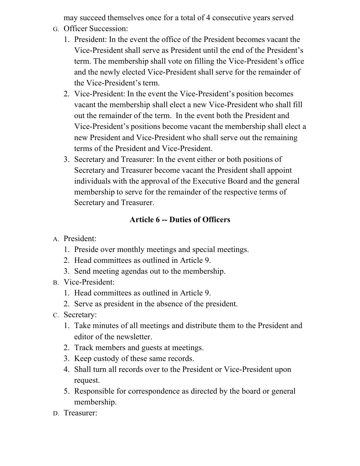may succeed themselves once for a total of 4 consecutive years served

- G. Officer Succession:
	- 1. President: In the event the office of the President becomes vacant the Vice-President shall serve as President until the end of the President's term. The membership shall vote on filling the Vice-President's office and the newly elected Vice-President shall serve for the remainder of the Vice-President's term.
	- 2. Vice-President: In the event the Vice-President's position becomes vacant the membership shall elect a new Vice-President who shall fill out the remainder of the term. In the event both the President and Vice-President's positions become vacant the membership shall elect a new President and Vice-President who shall serve out the remaining terms of the President and Vice-President.
	- 3. Secretary and Treasurer: In the event either or both positions of Secretary and Treasurer become vacant the President shall appoint individuals with the approval of the Executive Board and the general membership to serve for the remainder of the respective terms of Secretary and Treasurer.

## **Article 6 -- Duties of Officers**

- A. President:
	- 1. Preside over monthly meetings and special meetings.
	- 2. Head committees as outlined in Article 9.
	- 3. Send meeting agendas out to the membership.
- B. Vice-President:
	- 1. Head committees as outlined in Article 9.
	- 2. Serve as president in the absence of the president.
- C. Secretary:
	- 1. Take minutes of all meetings and distribute them to the President and editor of the newsletter.
	- 2. Track members and guests at meetings.
	- 3. Keep custody of these same records.
	- 4. Shall turn all records over to the President or Vice-President upon request.
	- 5. Responsible for correspondence as directed by the board or general membership.
- D. Treasurer: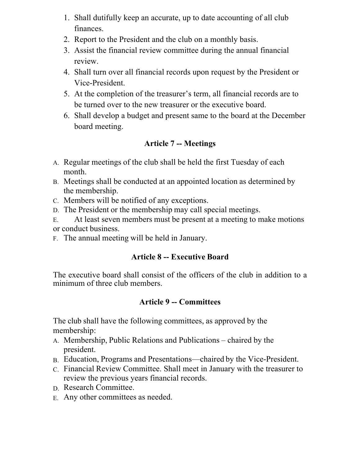- 1. Shall dutifully keep an accurate, up to date accounting of all club finances.
- 2. Report to the President and the club on a monthly basis.
- 3. Assist the financial review committee during the annual financial review.
- 4. Shall turn over all financial records upon request by the President or Vice-President.
- 5. At the completion of the treasurer's term, all financial records are to be turned over to the new treasurer or the executive board.
- 6. Shall develop a budget and present same to the board at the December board meeting.

## **Article 7 -- Meetings**

- A. Regular meetings of the club shall be held the first Tuesday of each month.
- B. Meetings shall be conducted at an appointed location as determined by the membership.
- C. Members will be notified of any exceptions.
- D. The President or the membership may call special meetings.
- E. At least seven members must be present at a meeting to make motions or conduct business.
- F. The annual meeting will be held in January.

## **Article 8 -- Executive Board**

The executive board shall consist of the officers of the club in addition to a minimum of three club members.

## **Article 9 -- Committees**

The club shall have the following committees, as approved by the membership:

- A. Membership, Public Relations and Publications chaired by the president.
- B. Education, Programs and Presentations—chaired by the Vice-President.
- C. Financial Review Committee. Shall meet in January with the treasurer to review the previous years financial records.
- D. Research Committee.
- E. Any other committees as needed.